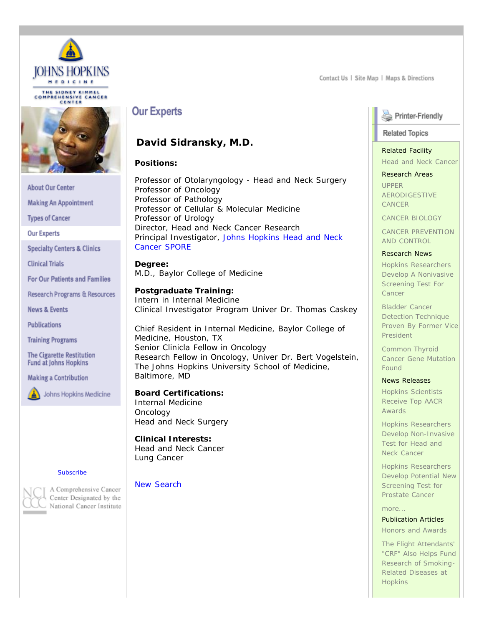

THE SIDNEY KIMMEL<br>COMPREHENSIVE CANCER CENTER



**About Our Center** 

**Making An Appointment** 

**Types of Cancer** 

**Our Experts** 

**Specialty Centers & Clinics** 

**Clinical Trials** 

**For Our Patients and Families** 

Research Programs & Resources

**News & Events** 

**Publications** 

**Training Programs** 

**The Cigarette Restitution Fund at Johns Hopkins** 

**Making a Contribution** 

Johns Hopkins Medicine

#### **[Subscribe](http://www.hopkinskimmelcancercenter.org/kpr/kimmelwire.cfm)**



A Comprehensive Cancer Center Designated by the National Cancer Institute

# **Our Experts**

## **David Sidransky, M.D.**

## **Positions:**

Professor of Otolaryngology - Head and Neck Surgery Professor of Oncology Professor of Pathology Professor of Cellular & Molecular Medicine Professor of Urology Director, Head and Neck Cancer Research Principal Investigator, [Johns Hopkins Head and Neck](http://www.hopkinskimmelcancercenter.org/kpr/spore_headandneck.cfm) [Cancer SPORE](http://www.hopkinskimmelcancercenter.org/kpr/spore_headandneck.cfm)

**Degree:** M.D., Baylor College of Medicine

## **Postgraduate Training:**

Intern in Internal Medicine Clinical Investigator Program Univer Dr. Thomas Caskey

Chief Resident in Internal Medicine, Baylor College of Medicine, Houston, TX Senior Clinicla Fellow in Oncology Research Fellow in Oncology, Univer Dr. Bert Vogelstein, The Johns Hopkins University School of Medicine, Baltimore, MD

## **Board Certifications:**

Internal Medicine **Oncology** Head and Neck Surgery

## **Clinical Interests:**

Head and Neck Cancer Lung Cancer

## [New Search](http://www.hopkinskimmelcancercenter.org/experts/index.cfm)

Contact Us | Site Map | Maps & Directions

## Printer-Friendly

## **Related Topics**

## Related Facility

[Head and Neck Cancer](http://www.hopkinskimmelcancercenter.org/specialtycenters/facility.cfm?facilityid=29)

## Research Areas

[UPPER](http://www.hopkinskimmelcancercenter.org/labresearch/program.cfm?rpID=17) [AERODIGESTIVE](http://www.hopkinskimmelcancercenter.org/labresearch/program.cfm?rpID=17) [CANCER](http://www.hopkinskimmelcancercenter.org/labresearch/program.cfm?rpID=17)

[CANCER BIOLOGY](http://www.hopkinskimmelcancercenter.org/labresearch/program.cfm?rpID=2)

[CANCER PREVENTION](http://www.hopkinskimmelcancercenter.org/labresearch/program.cfm?rpID=9) [AND CONTROL](http://www.hopkinskimmelcancercenter.org/labresearch/program.cfm?rpID=9)

## Research News

[Hopkins Researchers](http://www.hopkinskimmelcancercenter.org/labresearch/article.cfm?aid=9&rpid=2) [Develop A Nonivasive](http://www.hopkinskimmelcancercenter.org/labresearch/article.cfm?aid=9&rpid=2) [Screening Test For](http://www.hopkinskimmelcancercenter.org/labresearch/article.cfm?aid=9&rpid=2) [Cancer](http://www.hopkinskimmelcancercenter.org/labresearch/article.cfm?aid=9&rpid=2)

[Bladder Cancer](http://www.hopkinskimmelcancercenter.org/labresearch/article.cfm?aid=56&rpid=7) [Detection Technique](http://www.hopkinskimmelcancercenter.org/labresearch/article.cfm?aid=56&rpid=7) [Proven By Former Vice](http://www.hopkinskimmelcancercenter.org/labresearch/article.cfm?aid=56&rpid=7) [President](http://www.hopkinskimmelcancercenter.org/labresearch/article.cfm?aid=56&rpid=7)

[Common Thyroid](http://www.hopkinskimmelcancercenter.org/labresearch/article.cfm?aid=86&rpid=17) [Cancer Gene Mutation](http://www.hopkinskimmelcancercenter.org/labresearch/article.cfm?aid=86&rpid=17) [Found](http://www.hopkinskimmelcancercenter.org/labresearch/article.cfm?aid=86&rpid=17)

## News Releases

[Hopkins Scientists](http://www.hopkinskimmelcancercenter.org/news/index.cfm?documentid=473&newstype=News%20Releases&action=showthisitem) [Receive Top AACR](http://www.hopkinskimmelcancercenter.org/news/index.cfm?documentid=473&newstype=News%20Releases&action=showthisitem) **[Awards](http://www.hopkinskimmelcancercenter.org/news/index.cfm?documentid=473&newstype=News%20Releases&action=showthisitem)** 

[Hopkins Researchers](http://www.hopkinskimmelcancercenter.org/news/index.cfm?documentid=246&newstype=News%20Releases&action=showthisitem) [Develop Non-Invasive](http://www.hopkinskimmelcancercenter.org/news/index.cfm?documentid=246&newstype=News%20Releases&action=showthisitem) [Test for Head and](http://www.hopkinskimmelcancercenter.org/news/index.cfm?documentid=246&newstype=News%20Releases&action=showthisitem) [Neck Cancer](http://www.hopkinskimmelcancercenter.org/news/index.cfm?documentid=246&newstype=News%20Releases&action=showthisitem)

[Hopkins Researchers](http://www.hopkinskimmelcancercenter.org/news/index.cfm?documentid=210&newstype=News%20Releases&action=showthisitem) [Develop Potential New](http://www.hopkinskimmelcancercenter.org/news/index.cfm?documentid=210&newstype=News%20Releases&action=showthisitem) [Screening Test for](http://www.hopkinskimmelcancercenter.org/news/index.cfm?documentid=210&newstype=News%20Releases&action=showthisitem) [Prostate Cancer](http://www.hopkinskimmelcancercenter.org/news/index.cfm?documentid=210&newstype=News%20Releases&action=showthisitem)

## [more...](javascript: relatednewsarticles()

Publication Articles

[Honors and Awards](http://www.hopkinskimmelcancercenter.org/publications/publication.cfm?DocumentID=555&publicationID=18&publicationtypeid=1)

[The Flight Attendants'](http://www.hopkinskimmelcancercenter.org/publications/publication.cfm?DocumentID=614&publicationID=20&publicationtypeid=3) ["CRF" Also Helps Fund](http://www.hopkinskimmelcancercenter.org/publications/publication.cfm?DocumentID=614&publicationID=20&publicationtypeid=3) [Research of Smoking-](http://www.hopkinskimmelcancercenter.org/publications/publication.cfm?DocumentID=614&publicationID=20&publicationtypeid=3)[Related Diseases at](http://www.hopkinskimmelcancercenter.org/publications/publication.cfm?DocumentID=614&publicationID=20&publicationtypeid=3) **[Hopkins](http://www.hopkinskimmelcancercenter.org/publications/publication.cfm?DocumentID=614&publicationID=20&publicationtypeid=3)**